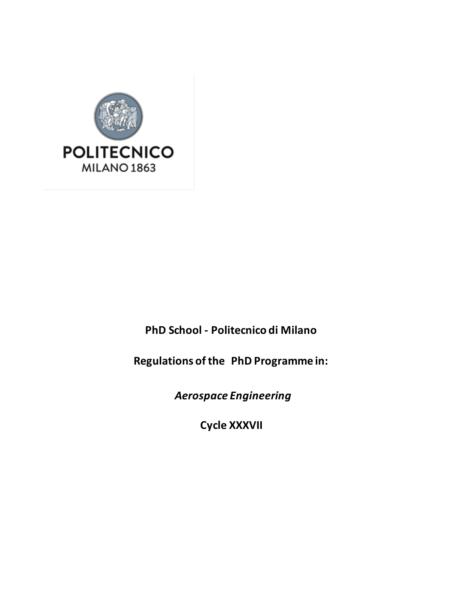

**PhD School - Politecnico di Milano**

**Regulations of the PhD Programme in:**

*Aerospace Engineering*

**Cycle XXXVII**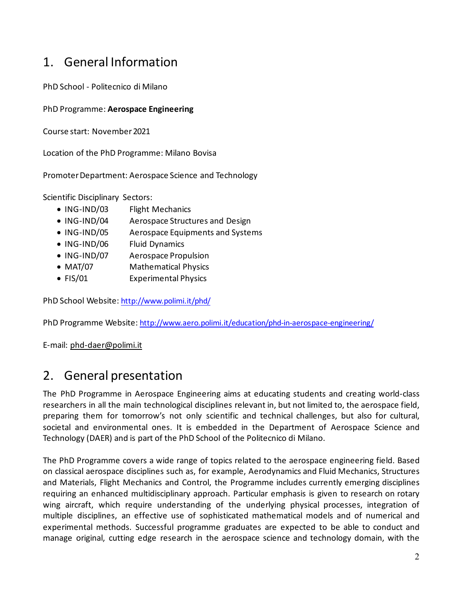## 1. General Information

PhD School - Politecnico di Milano

#### PhD Programme: **Aerospace Engineering**

Course start: November2021

Location of the PhD Programme: Milano Bovisa

Promoter Department: Aerospace Science and Technology

Scientific Disciplinary Sectors:

- ING-IND/03 Flight Mechanics
- ING-IND/04 Aerospace Structures and Design
- ING-IND/05 Aerospace Equipments and Systems
- ING-IND/06 Fluid Dynamics
- ING-IND/07 Aerospace Propulsion
- MAT/07 Mathematical Physics
- FIS/01 Experimental Physics

PhD School Website: [http://www.polimi.it/phd/](http://www.polimi.it/)

PhD Programme Website: http://www.aero.polimi.it/education/phd-in-aerospace-engineering/

E-mail: [phd-daer@polimi.it](mailto:phd-daer@polimi.it)

### 2. General presentation

The PhD Programme in Aerospace Engineering aims at educating students and creating world-class researchers in all the main technological disciplines relevant in, but not limited to, the aerospace field, preparing them for tomorrow's not only scientific and technical challenges, but also for cultural, societal and environmental ones. It is embedded in the Department of Aerospace Science and Technology (DAER) and is part of the PhD School of the Politecnico di Milano.

The PhD Programme covers a wide range of topics related to the aerospace engineering field. Based on classical aerospace disciplines such as, for example, Aerodynamics and Fluid Mechanics, Structures and Materials, Flight Mechanics and Control, the Programme includes currently emerging disciplines requiring an enhanced multidisciplinary approach. Particular emphasis is given to research on rotary wing aircraft, which require understanding of the underlying physical processes, integration of multiple disciplines, an effective use of sophisticated mathematical models and of numerical and experimental methods. Successful programme graduates are expected to be able to conduct and manage original, cutting edge research in the aerospace science and technology domain, with the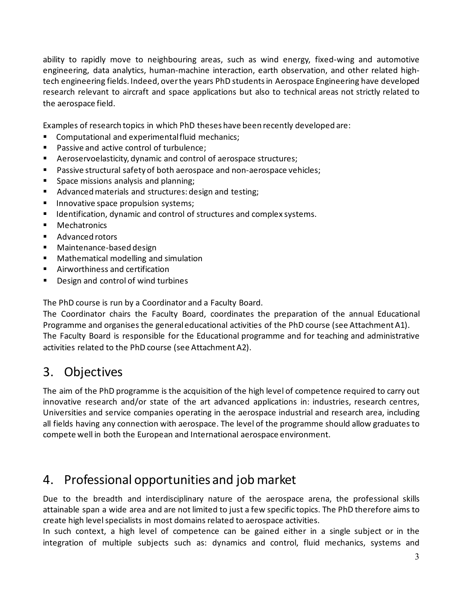ability to rapidly move to neighbouring areas, such as wind energy, fixed-wing and automotive engineering, data analytics, human-machine interaction, earth observation, and other related hightech engineering fields. Indeed, over the years PhD students in Aerospace Engineering have developed research relevant to aircraft and space applications but also to technical areas not strictly related to the aerospace field.

Examples of research topics in which PhD theses have been recently developed are:

- **Computational and experimental fluid mechanics;**
- Passive and active control of turbulence;
- Aeroservoelasticity, dynamic and control of aerospace structures;
- **Passive structural safety of both aerospace and non-aerospace vehicles;**
- **Space missions analysis and planning;**
- Advanced materials and structures: design and testing;
- **Innovative space propulsion systems;**
- **If Identification, dynamic and control of structures and complex systems.**
- **Mechatronics**
- Advanced rotors
- Maintenance-based design
- **Mathematical modelling and simulation**
- Airworthiness and certification
- **Design and control of wind turbines**

The PhD course is run by a Coordinator and a Faculty Board.

The Coordinator chairs the Faculty Board, coordinates the preparation of the annual Educational Programme and organises the general educational activities of the PhD course (see Attachment A1). The Faculty Board is responsible for the Educational programme and for teaching and administrative activities related to the PhD course (see Attachment A2).

## 3. Objectives

The aim of the PhD programme is the acquisition of the high level of competence required to carry out innovative research and/or state of the art advanced applications in: industries, research centres, Universities and service companies operating in the aerospace industrial and research area, including all fields having any connection with aerospace. The level of the programme should allow graduates to compete well in both the European and International aerospace environment.

## 4. Professional opportunities and job market

Due to the breadth and interdisciplinary nature of the aerospace arena, the professional skills attainable span a wide area and are not limited to just a few specific topics. The PhD therefore aims to create high level specialists in most domains related to aerospace activities.

In such context, a high level of competence can be gained either in a single subject or in the integration of multiple subjects such as: dynamics and control, fluid mechanics, systems and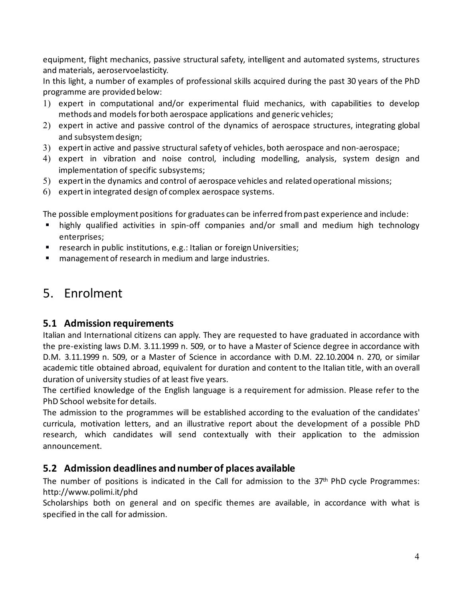equipment, flight mechanics, passive structural safety, intelligent and automated systems, structures and materials, aeroservoelasticity.

In this light, a number of examples of professional skills acquired during the past 30 years of the PhD programme are provided below:

- 1) expert in computational and/or experimental fluid mechanics, with capabilities to develop methods and models for both aerospace applications and generic vehicles;
- 2) expert in active and passive control of the dynamics of aerospace structures, integrating global and subsystem design;
- 3) expert in active and passive structural safety of vehicles, both aerospace and non-aerospace;
- 4) expert in vibration and noise control, including modelling, analysis, system design and implementation of specific subsystems;
- 5) expert in the dynamics and control of aerospace vehicles and related operational missions;
- 6) expert in integrated design of complex aerospace systems.

The possible employment positions for graduates can be inferred from past experience and include:

- highly qualified activities in spin-off companies and/or small and medium high technology enterprises;
- **F** research in public institutions, e.g.: Italian or foreign Universities;
- **E** management of research in medium and large industries.

## 5. Enrolment

### **5.1 Admission requirements**

Italian and International citizens can apply. They are requested to have graduated in accordance with the pre-existing laws D.M. 3.11.1999 n. 509, or to have a Master of Science degree in accordance with D.M. 3.11.1999 n. 509, or a Master of Science in accordance with D.M. 22.10.2004 n. 270, or similar academic title obtained abroad, equivalent for duration and content to the Italian title, with an overall duration of university studies of at least five years.

The certified knowledge of the English language is a requirement for admission. Please refer to the PhD School website for details.

The admission to the programmes will be established according to the evaluation of the candidates' curricula, motivation letters, and an illustrative report about the development of a possible PhD research, which candidates will send contextually with their application to the admission announcement.

### **5.2 Admission deadlines and number of places available**

The number of positions is indicated in the Call for admission to the 37<sup>th</sup> PhD cycle Programmes: http://www.polimi.it/phd

Scholarships both on general and on specific themes are available, in accordance with what is specified in the call for admission.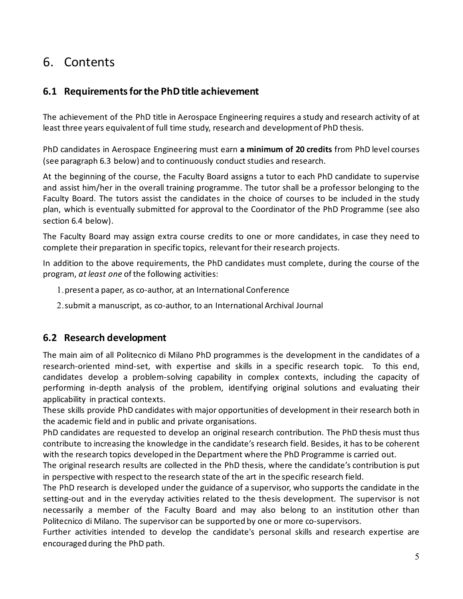## 6. Contents

### **6.1 Requirements for the PhD title achievement**

The achievement of the PhD title in Aerospace Engineering requires a study and research activity of at least three years equivalent of full time study, research and development of PhD thesis.

PhD candidates in Aerospace Engineering must earn **a minimum of 20 credits** from PhD level courses (see paragraph 6.3 below) and to continuously conduct studies and research.

At the beginning of the course, the Faculty Board assigns a tutor to each PhD candidate to supervise and assist him/her in the overall training programme. The tutor shall be a professor belonging to the Faculty Board. The tutors assist the candidates in the choice of courses to be included in the study plan, which is eventually submitted for approval to the Coordinator of the PhD Programme (see also section 6.4 below).

The Faculty Board may assign extra course credits to one or more candidates, in case they need to complete their preparation in specific topics, relevant for their research projects.

In addition to the above requirements, the PhD candidates must complete, during the course of the program, *at least one* of the following activities:

- 1.present a paper, as co-author, at an International Conference
- 2.submit a manuscript, as co-author, to an International Archival Journal

### **6.2 Research development**

The main aim of all Politecnico di Milano PhD programmes is the development in the candidates of a research-oriented mind-set, with expertise and skills in a specific research topic. To this end, candidates develop a problem-solving capability in complex contexts, including the capacity of performing in-depth analysis of the problem, identifying original solutions and evaluating their applicability in practical contexts.

These skills provide PhD candidates with major opportunities of development in their research both in the academic field and in public and private organisations.

PhD candidates are requested to develop an original research contribution. The PhD thesis must thus contribute to increasing the knowledge in the candidate's research field. Besides, it has to be coherent with the research topics developed in the Department where the PhD Programme is carried out.

The original research results are collected in the PhD thesis, where the candidate's contribution is put in perspective with respect to the research state of the art in the specific research field.

The PhD research is developed under the guidance of a supervisor, who supports the candidate in the setting-out and in the everyday activities related to the thesis development. The supervisor is not necessarily a member of the Faculty Board and may also belong to an institution other than Politecnico di Milano. The supervisor can be supported by one or more co-supervisors.

Further activities intended to develop the candidate's personal skills and research expertise are encouraged during the PhD path.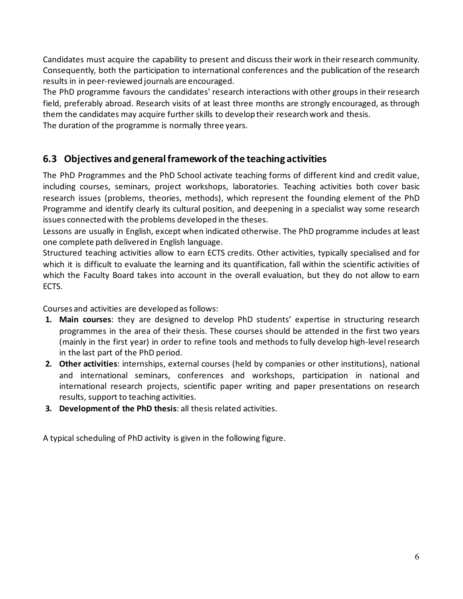Candidates must acquire the capability to present and discuss their work in their research community. Consequently, both the participation to international conferences and the publication of the research results in in peer-reviewed journals are encouraged.

The PhD programme favours the candidates' research interactions with other groups in their research field, preferably abroad. Research visits of at least three months are strongly encouraged, as through them the candidates may acquire further skills to develop their research work and thesis. The duration of the programme is normally three years.

### **6.3 Objectives and general framework of the teaching activities**

The PhD Programmes and the PhD School activate teaching forms of different kind and credit value, including courses, seminars, project workshops, laboratories. Teaching activities both cover basic research issues (problems, theories, methods), which represent the founding element of the PhD Programme and identify clearly its cultural position, and deepening in a specialist way some research issues connected with the problems developed in the theses.

Lessons are usually in English, except when indicated otherwise. The PhD programme includes at least one complete path delivered in English language.

Structured teaching activities allow to earn ECTS credits. Other activities, typically specialised and for which it is difficult to evaluate the learning and its quantification, fall within the scientific activities of which the Faculty Board takes into account in the overall evaluation, but they do not allow to earn ECTS.

Courses and activities are developed as follows:

- **1. Main courses**: they are designed to develop PhD students' expertise in structuring research programmes in the area of their thesis. These courses should be attended in the first two years (mainly in the first year) in order to refine tools and methods to fully develop high-level research in the last part of the PhD period.
- **2. Other activities**: internships, external courses (held by companies or other institutions), national and international seminars, conferences and workshops, participation in national and international research projects, scientific paper writing and paper presentations on research results, support to teaching activities.
- **3. Development of the PhD thesis**: all thesis related activities.

A typical scheduling of PhD activity is given in the following figure.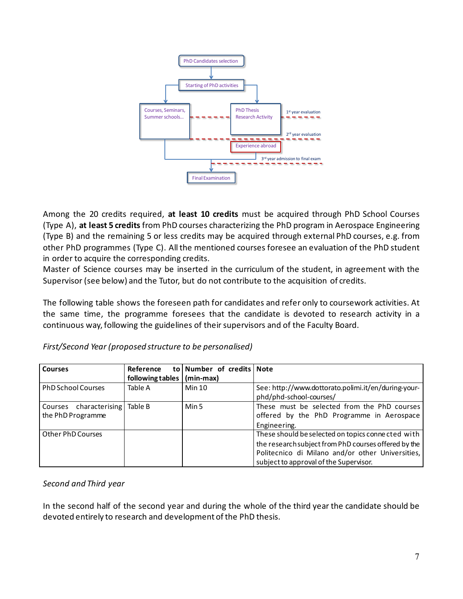

Among the 20 credits required, **at least 10 credits** must be acquired through PhD School Courses (Type A), **at least 5 credits** from PhD courses characterizing the PhD program in Aerospace Engineering (Type B) and the remaining 5 or less credits may be acquired through external PhD courses, e.g. from other PhD programmes (Type C). All the mentioned courses foresee an evaluation of the PhD student in order to acquire the corresponding credits.

Master of Science courses may be inserted in the curriculum of the student, in agreement with the Supervisor (see below) and the Tutor, but do not contribute to the acquisition of credits.

The following table shows the foreseen path for candidates and refer only to coursework activities. At the same time, the programme foresees that the candidate is devoted to research activity in a continuous way, following the guidelines of their supervisors and of the Faculty Board.

| <b>Courses</b>                 | Reference                    | to Number of credits Note |                                                      |
|--------------------------------|------------------------------|---------------------------|------------------------------------------------------|
|                                | following tables   (min-max) |                           |                                                      |
| <b>PhD School Courses</b>      | Table A                      | <b>Min 10</b>             | See: http://www.dottorato.polimi.it/en/during-your-  |
|                                |                              |                           | phd/phd-school-courses/                              |
| Courses characterising Table B |                              | Min 5                     | These must be selected from the PhD courses          |
| the PhD Programme              |                              |                           | offered by the PhD Programme in Aerospace            |
|                                |                              |                           | Engineering.                                         |
| Other PhD Courses              |                              |                           | These should be selected on topics connected with    |
|                                |                              |                           | the research subject from PhD courses offered by the |
|                                |                              |                           | Politecnico di Milano and/or other Universities,     |
|                                |                              |                           | subject to approval of the Supervisor.               |

*First/Second Year (proposed structure to be personalised)* 

#### *Second and Third year*

In the second half of the second year and during the whole of the third year the candidate should be devoted entirely to research and development of the PhD thesis.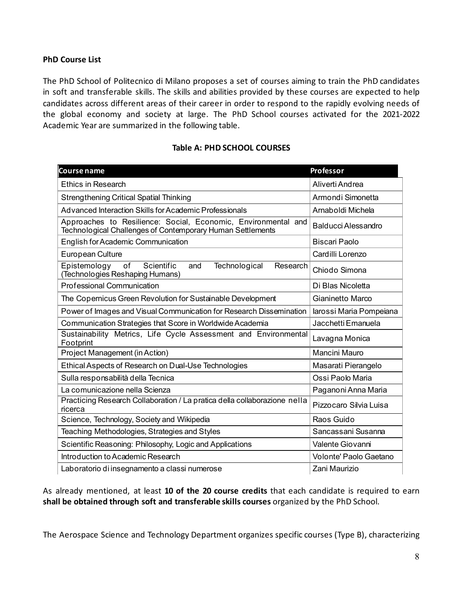#### **PhD Course List**

The PhD School of Politecnico di Milano proposes a set of courses aiming to train the PhD candidates in soft and transferable skills. The skills and abilities provided by these courses are expected to help candidates across different areas of their career in order to respond to the rapidly evolving needs of the global economy and society at large. The PhD School courses activated for the 2021-2022 Academic Year are summarized in the following table.

#### **Table A: PHD SCHOOL COURSES**

| Course name                                                                                                                 | Professor               |  |
|-----------------------------------------------------------------------------------------------------------------------------|-------------------------|--|
| <b>Ethics in Research</b>                                                                                                   | Aliverti Andrea         |  |
| <b>Strengthening Critical Spatial Thinking</b>                                                                              | Armondi Simonetta       |  |
| Advanced Interaction Skills for Academic Professionals                                                                      | Arnaboldi Michela       |  |
| Approaches to Resilience: Social, Economic, Environmental and<br>Technological Challenges of Contemporary Human Settlements | Balducci Alessandro     |  |
| English for Academic Communication                                                                                          | <b>Biscari Paolo</b>    |  |
| European Culture                                                                                                            | Cardilli Lorenzo        |  |
| Epistemology<br>of<br>Scientific<br>and<br>Technological<br>Research<br>(Technologies Reshaping Humans)                     | Chiodo Simona           |  |
| <b>Professional Communication</b>                                                                                           | Di Blas Nicoletta       |  |
| The Copernicus Green Revolution for Sustainable Development                                                                 | Gianinetto Marco        |  |
| Power of Images and Visual Communication for Research Dissemination                                                         | larossi Maria Pompeiana |  |
| Communication Strategies that Score in Worldwide Academia                                                                   | Jacchetti Emanuela      |  |
| Sustainability Metrics, Life Cycle Assessment and Environmental<br>Footprint                                                | Lavagna Monica          |  |
| Project Management (in Action)                                                                                              | Mancini Mauro           |  |
| Ethical Aspects of Research on Dual-Use Technologies                                                                        | Masarati Pierangelo     |  |
| Sulla responsabilità della Tecnica                                                                                          | Ossi Paolo Maria        |  |
| La comunicazione nella Scienza                                                                                              | Paganoni Anna Maria     |  |
| Practicing Research Collaboration / La pratica della collaborazione nella<br>ricerca                                        | Pizzocaro Silvia Luisa  |  |
| Science, Technology, Society and Wikipedia                                                                                  | Raos Guido              |  |
| Teaching Methodologies, Strategies and Styles                                                                               | Sancassani Susanna      |  |
| Scientific Reasoning: Philosophy, Logic and Applications                                                                    | Valente Giovanni        |  |
| Introduction to Academic Research                                                                                           | Volonte' Paolo Gaetano  |  |
| Laboratorio di insegnamento a classi numerose                                                                               | Zani Maurizio           |  |

As already mentioned, at least **10 of the 20 course credits** that each candidate is required to earn **shall be obtained through soft and transferable skills courses** organized by the PhD School.

The Aerospace Science and Technology Department organizes specific courses (Type B), characterizing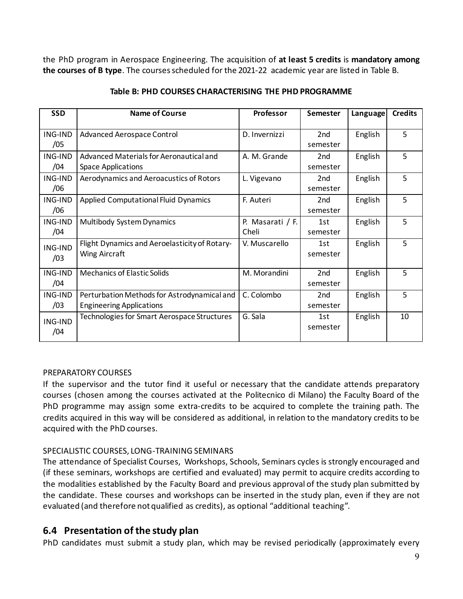the PhD program in Aerospace Engineering. The acquisition of **at least 5 credits** is **mandatory among the courses of B type**. The courses scheduled for the 2021-22 academic year are listed in Table B.

| <b>SSD</b>            | Name of Course                                                                 | Professor                 | Semester                    | Language | <b>Credits</b> |
|-----------------------|--------------------------------------------------------------------------------|---------------------------|-----------------------------|----------|----------------|
| ING-IND<br>/05        | Advanced Aerospace Control                                                     | D. Invernizzi             | 2 <sub>nd</sub><br>semester | English  | 5              |
| ING-IND<br>/04        | Advanced Materials for Aeronautical and<br><b>Space Applications</b>           | A. M. Grande              | 2nd<br>semester             | English  | 5              |
| ING-IND<br>/06        | Aerodynamics and Aeroacustics of Rotors                                        | L. Vigevano               | 2nd<br>semester             | English  | 5              |
| ING-IND<br>/06        | <b>Applied Computational Fluid Dynamics</b>                                    | F. Auteri                 | 2nd<br>semester             | English  | 5              |
| ING-IND<br>/04        | Multibody System Dynamics                                                      | P. Masarati / F.<br>Cheli | 1st<br>semester             | English  | 5              |
| <b>ING-IND</b><br>/03 | Flight Dynamics and Aeroelasticity of Rotary-<br>Wing Aircraft                 | V. Muscarello             | 1st<br>semester             | English  | 5              |
| ING-IND<br>/04        | <b>Mechanics of Elastic Solids</b>                                             | M. Morandini              | 2nd<br>semester             | English  | 5              |
| ING-IND<br>/03        | Perturbation Methods for Astrodynamical and<br><b>Engineering Applications</b> | C. Colombo                | 2nd<br>semester             | English  | 5              |
| <b>ING-IND</b><br>/04 | Technologies for Smart Aerospace Structures                                    | G. Sala                   | 1st<br>semester             | English  | 10             |

#### **Table B: PHD COURSES CHARACTERISING THE PHD PROGRAMME**

#### PREPARATORY COURSES

If the supervisor and the tutor find it useful or necessary that the candidate attends preparatory courses (chosen among the courses activated at the Politecnico di Milano) the Faculty Board of the PhD programme may assign some extra-credits to be acquired to complete the training path. The credits acquired in this way will be considered as additional, in relation to the mandatory credits to be acquired with the PhD courses.

#### SPECIALISTIC COURSES, LONG-TRAINING SEMINARS

The attendance of Specialist Courses, Workshops, Schools, Seminars cycles is strongly encouraged and (if these seminars, workshops are certified and evaluated) may permit to acquire credits according to the modalities established by the Faculty Board and previous approval of the study plan submitted by the candidate. These courses and workshops can be inserted in the study plan, even if they are not evaluated (and therefore not qualified as credits), as optional "additional teaching".

### **6.4 Presentation of the study plan**

PhD candidates must submit a study plan, which may be revised periodically (approximately every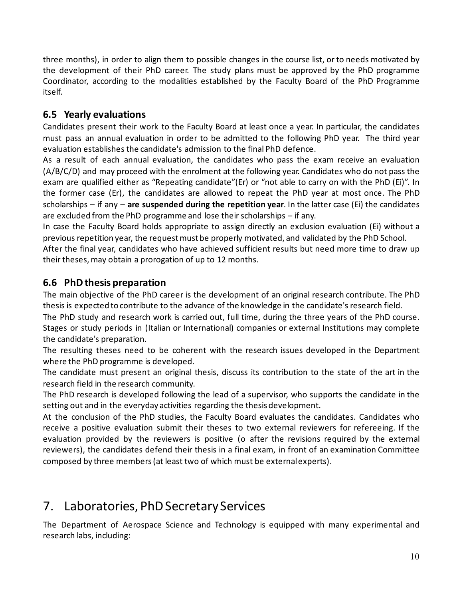three months), in order to align them to possible changes in the course list, or to needs motivated by the development of their PhD career. The study plans must be approved by the PhD programme Coordinator, according to the modalities established by the Faculty Board of the PhD Programme itself.

### **6.5 Yearly evaluations**

Candidates present their work to the Faculty Board at least once a year. In particular, the candidates must pass an annual evaluation in order to be admitted to the following PhD year. The third year evaluation establishes the candidate's admission to the final PhD defence.

As a result of each annual evaluation, the candidates who pass the exam receive an evaluation (A/B/C/D) and may proceed with the enrolment at the following year. Candidates who do not pass the exam are qualified either as "Repeating candidate"(Er) or "not able to carry on with the PhD (Ei)". In the former case (Er), the candidates are allowed to repeat the PhD year at most once. The PhD scholarships – if any – **are suspended during the repetition year**. In the latter case (Ei) the candidates are excluded from the PhD programme and lose their scholarships – if any.

In case the Faculty Board holds appropriate to assign directly an exclusion evaluation (Ei) without a previous repetition year, the request must be properly motivated, and validated by the PhD School.

After the final year, candidates who have achieved sufficient results but need more time to draw up their theses, may obtain a prorogation of up to 12 months.

### **6.6 PhD thesis preparation**

The main objective of the PhD career is the development of an original research contribute. The PhD thesis is expected to contribute to the advance of the knowledge in the candidate's research field.

The PhD study and research work is carried out, full time, during the three years of the PhD course. Stages or study periods in (Italian or International) companies or external Institutions may complete the candidate's preparation.

The resulting theses need to be coherent with the research issues developed in the Department where the PhD programme is developed.

The candidate must present an original thesis, discuss its contribution to the state of the art in the research field in the research community.

The PhD research is developed following the lead of a supervisor, who supports the candidate in the setting out and in the everyday activities regarding the thesis development.

At the conclusion of the PhD studies, the Faculty Board evaluates the candidates. Candidates who receive a positive evaluation submit their theses to two external reviewers for refereeing. If the evaluation provided by the reviewers is positive (o after the revisions required by the external reviewers), the candidates defend their thesis in a final exam, in front of an examination Committee composed by three members (at least two of which must be external experts).

## 7. Laboratories, PhD Secretary Services

The Department of Aerospace Science and Technology is equipped with many experimental and research labs, including: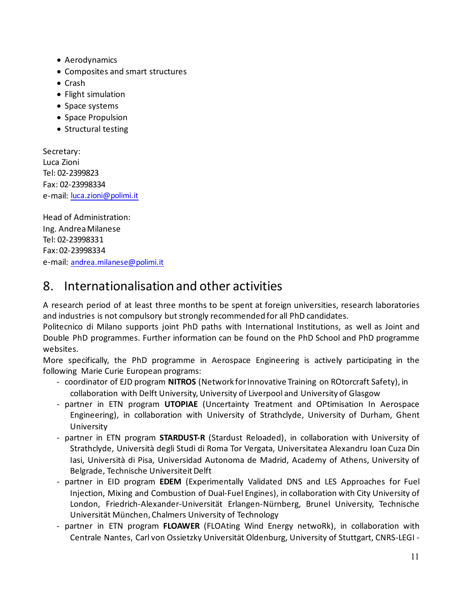- Aerodynamics
- Composites and smart structures
- Crash
- Flight simulation
- Space systems
- Space Propulsion
- Structural testing

Secretary: Luca Zioni Tel: 02-2399823 Fax: 02-23998334 e-mail: [luca.zioni@polimi.it](mailto:luca.zioni@polimi.it)

Head of Administration: Ing. Andrea Milanese Tel: 02-23998331 Fax: 02-23998334 e-mail: [andrea.milanese@polimi.it](mailto:andrea.milanese@polimi.it)

## 8. Internationalisation and other activities

A research period of at least three months to be spent at foreign universities, research laboratories and industries is not compulsory but strongly recommended for all PhD candidates.

Politecnico di Milano supports joint PhD paths with International Institutions, as well as Joint and Double PhD programmes. Further information can be found on the PhD School and PhD programme websites.

More specifically, the PhD programme in Aerospace Engineering is actively participating in the following Marie Curie European programs:

- coordinator of EJD program **NITROS** (Network for Innovative Training on ROtorcraft Safety), in collaboration with Delft University, University of Liverpool and University of Glasgow
- partner in ETN program **UTOPIAE** (Uncertainty Treatment and OPtimisation In Aerospace Engineering), in collaboration with University of Strathclyde, University of Durham, Ghent University
- partner in ETN program **STARDUST-R** (Stardust Reloaded), in collaboration with University of Strathclyde, Università degli Studi di Roma Tor Vergata, Universitatea Alexandru Ioan Cuza Din Iasi, Università di Pisa, Universidad Autonoma de Madrid, Academy of Athens, University of Belgrade, Technische Universiteit Delft
- partner in EID program **EDEM** (Experimentally Validated DNS and LES Approaches for Fuel Injection, Mixing and Combustion of Dual-Fuel Engines), in collaboration with City University of London, Friedrich-Alexander-Universität Erlangen-Nürnberg, Brunel University, Technische Universität München, Chalmers University of Technology
- partner in ETN program **FLOAWER** (FLOAting Wind Energy netwoRk), in collaboration with Centrale Nantes, Carl von Ossietzky Universität Oldenburg, University of Stuttgart, CNRS-LEGI -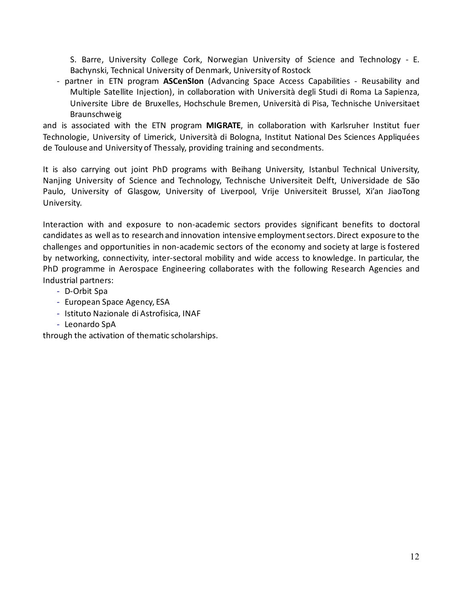S. Barre, University College Cork, Norwegian University of Science and Technology - E. Bachynski, Technical University of Denmark, University of Rostock

- partner in ETN program **ASCenSIon** (Advancing Space Access Capabilities - Reusability and Multiple Satellite Injection), in collaboration with Università degli Studi di Roma La Sapienza, Universite Libre de Bruxelles, Hochschule Bremen, Università di Pisa, Technische Universitaet Braunschweig

and is associated with the ETN program **MIGRATE**, in collaboration with Karlsruher Institut fuer Technologie, University of Limerick, Università di Bologna, Institut National Des Sciences Appliquées de Toulouse and University of Thessaly, providing training and secondments.

It is also carrying out joint PhD programs with Beihang University, Istanbul Technical University, Nanjing University of Science and Technology, Technische Universiteit Delft, Universidade de São Paulo, University of Glasgow, University of Liverpool, Vrije Universiteit Brussel, Xi'an JiaoTong University.

Interaction with and exposure to non-academic sectors provides significant benefits to doctoral candidates as well as to research and innovation intensive employment sectors. Direct exposure to the challenges and opportunities in non-academic sectors of the economy and society at large is fostered by networking, connectivity, inter-sectoral mobility and wide access to knowledge. In particular, the PhD programme in Aerospace Engineering collaborates with the following Research Agencies and Industrial partners:

- *-* D-Orbit Spa
- *-* European Space Agency, ESA
- *-* Istituto Nazionale di Astrofisica, INAF
- *-* Leonardo SpA

through the activation of thematic scholarships.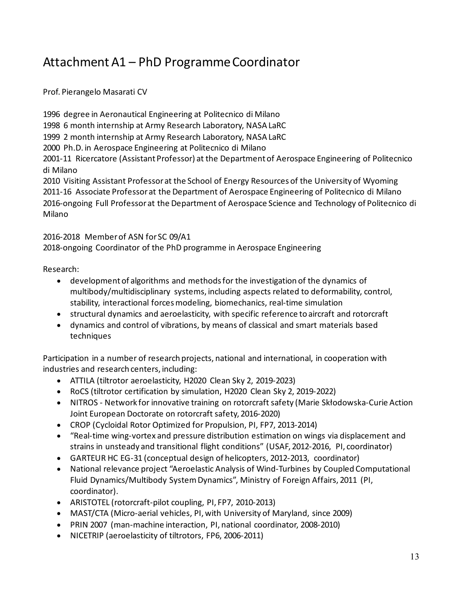## Attachment A1 – PhD Programme Coordinator

Prof. Pierangelo Masarati CV

1996 degree in Aeronautical Engineering at Politecnico di Milano 1998 6 month internship at Army Research Laboratory, NASA LaRC 1999 2 month internship at Army Research Laboratory, NASA LaRC 2000 Ph.D. in Aerospace Engineering at Politecnico di Milano 2001-11 Ricercatore (Assistant Professor) at the Department of Aerospace Engineering of Politecnico di Milano 2010 Visiting Assistant Professor at the School of Energy Resources of the University of Wyoming 2011-16 Associate Professor at the Department of Aerospace Engineering of Politecnico di Milano 2016-ongoing Full Professor at the Department of Aerospace Science and Technology of Politecnico di Milano

2016-2018 Member of ASN for SC 09/A1

2018-ongoing Coordinator of the PhD programme in Aerospace Engineering

Research:

- development of algorithms and methods for the investigation of the dynamics of multibody/multidisciplinary systems, including aspects related to deformability, control, stability, interactional forces modeling, biomechanics, real-time simulation
- structural dynamics and aeroelasticity, with specific reference to aircraft and rotorcraft
- dynamics and control of vibrations, by means of classical and smart materials based techniques

Participation in a number of research projects, national and international, in cooperation with industries and research centers, including:

- ATTILA (tiltrotor aeroelasticity, H2020 Clean Sky 2, 2019-2023)
- RoCS (tiltrotor certification by simulation, H2020 Clean Sky 2, 2019-2022)
- NITROS Network for innovative training on rotorcraft safety (Marie Skłodowska-Curie Action Joint European Doctorate on rotorcraft safety, 2016-2020)
- CROP (Cycloidal Rotor Optimized for Propulsion, PI, FP7, 2013-2014)
- "Real-time wing-vortex and pressure distribution estimation on wings via displacement and strains in unsteady and transitional flight conditions" (USAF, 2012-2016, PI, coordinator)
- GARTEUR HC EG-31 (conceptual design of helicopters, 2012-2013, coordinator)
- National relevance project "Aeroelastic Analysis of Wind-Turbines by Coupled Computational Fluid Dynamics/Multibody System Dynamics", Ministry of Foreign Affairs, 2011 (PI, coordinator).
- ARISTOTEL (rotorcraft-pilot coupling, PI, FP7, 2010-2013)
- MAST/CTA (Micro-aerial vehicles, PI, with University of Maryland, since 2009)
- PRIN 2007 (man-machine interaction, PI, national coordinator, 2008-2010)
- NICETRIP (aeroelasticity of tiltrotors, FP6, 2006-2011)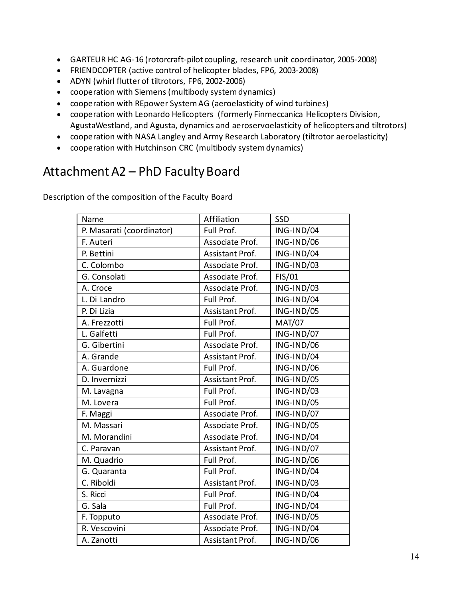- GARTEUR HC AG-16 (rotorcraft-pilot coupling, research unit coordinator, 2005-2008)
- FRIENDCOPTER (active control of helicopter blades, FP6, 2003-2008)
- ADYN (whirl flutter of tiltrotors, FP6, 2002-2006)
- cooperation with Siemens (multibody system dynamics)
- cooperation with REpower System AG (aeroelasticity of wind turbines)
- cooperation with Leonardo Helicopters (formerly Finmeccanica Helicopters Division, AgustaWestland, and Agusta, dynamics and aeroservoelasticity of helicopters and tiltrotors)
- cooperation with NASA Langley and Army Research Laboratory (tiltrotor aeroelasticity)
- cooperation with Hutchinson CRC (multibody system dynamics)

## Attachment A2 – PhD Faculty Board

Description of the composition of the Faculty Board

| Name                      | Affiliation            | SSD           |
|---------------------------|------------------------|---------------|
| P. Masarati (coordinator) | Full Prof.             | ING-IND/04    |
| F. Auteri                 | Associate Prof.        | ING-IND/06    |
| P. Bettini                | <b>Assistant Prof.</b> | ING-IND/04    |
| C. Colombo                | Associate Prof.        | ING-IND/03    |
| G. Consolati              | Associate Prof.        | FIS/01        |
| A. Croce                  | Associate Prof.        | ING-IND/03    |
| L. Di Landro              | Full Prof.             | ING-IND/04    |
| P. Di Lizia               | Assistant Prof.        | ING-IND/05    |
| A. Frezzotti              | Full Prof.             | <b>MAT/07</b> |
| L. Galfetti               | Full Prof.             | ING-IND/07    |
| G. Gibertini              | Associate Prof.        | ING-IND/06    |
| A. Grande                 | Assistant Prof.        | ING-IND/04    |
| A. Guardone               | Full Prof.             | ING-IND/06    |
| D. Invernizzi             | Assistant Prof.        | ING-IND/05    |
| M. Lavagna                | Full Prof.             | ING-IND/03    |
| M. Lovera                 | Full Prof.             | ING-IND/05    |
| F. Maggi                  | Associate Prof.        | ING-IND/07    |
| M. Massari                | Associate Prof.        | ING-IND/05    |
| M. Morandini              | Associate Prof.        | ING-IND/04    |
| C. Paravan                | Assistant Prof.        | ING-IND/07    |
| M. Quadrio                | Full Prof.             | ING-IND/06    |
| G. Quaranta               | Full Prof.             | ING-IND/04    |
| C. Riboldi                | Assistant Prof.        | ING-IND/03    |
| S. Ricci                  | Full Prof.             | ING-IND/04    |
| G. Sala                   | Full Prof.             | ING-IND/04    |
| F. Topputo                | Associate Prof.        | ING-IND/05    |
| R. Vescovini              | Associate Prof.        | ING-IND/04    |
| A. Zanotti                | Assistant Prof.        | ING-IND/06    |